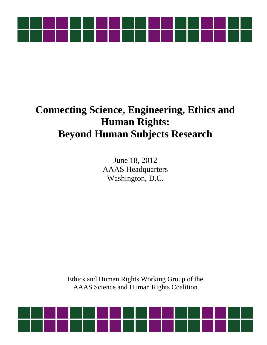

# **Connecting Science, Engineering, Ethics and Human Rights: Beyond Human Subjects Research**

June 18, 2012 AAAS Headquarters Washington, D.C.

Ethics and Human Rights Working Group of the AAAS Science and Human Rights Coalition

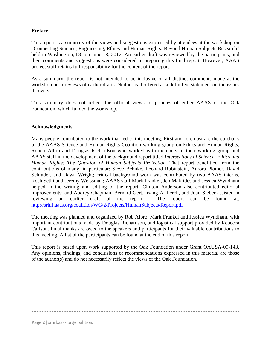# **Preface**

This report is a summary of the views and suggestions expressed by attendees at the workshop on "Connecting Science, Engineering, Ethics and Human Rights: Beyond Human Subjects Research" held in Washington, DC on June 18, 2012. An earlier draft was reviewed by the participants, and their comments and suggestions were considered in preparing this final report. However, AAAS project staff retains full responsibility for the content of the report.

As a summary, the report is not intended to be inclusive of all distinct comments made at the workshop or in reviews of earlier drafts. Neither is it offered as a definitive statement on the issues it covers.

This summary does not reflect the official views or policies of either AAAS or the Oak Foundation, which funded the workshop.

# **Acknowledgments**

Many people contributed to the work that led to this meeting. First and foremost are the co-chairs of the AAAS Science and Human Rights Coalition working group on Ethics and Human Rights, Robert Albro and Douglas Richardson who worked with members of their working group and AAAS staff in the development of the background report titled *Intersections of Science, Ethics and Human Rights: The Question of Human Subjects Protection*. That report benefitted from the contributions of many, in particular: Steve Behnke, Leonard Rubinstein, Aurora Plomer, David Schrader, and Dawn Wright; critical background work was contributed by two AAAS interns, Rosh Sethi and Jeremy Weissman; AAAS staff Mark Frankel, Jen Makrides and Jessica Wyndham helped in the writing and editing of the report; Clinton Anderson also contributed editorial improvements; and Audrey Chapman, Bernard Gert, Irving A. Lerch, and Joan Sieber assisted in reviewing an earlier draft of the report. The report can be found at: http://srhrl.aaas.org/coalition/WG/2/Projects/HumanSubjects/Report.pdf

The meeting was planned and organized by Rob Albro, Mark Frankel and Jessica Wyndham, with important contributions made by Douglas Richardson, and logistical support provided by Rebecca Carlson. Final thanks are owed to the speakers and participants for their valuable contributions to this meeting. A list of the participants can be found at the end of this report.

This report is based upon work supported by the Oak Foundation under Grant OAUSA-09-143. Any opinions, findings, and conclusions or recommendations expressed in this material are those of the author(s) and do not necessarily reflect the views of the Oak Foundation.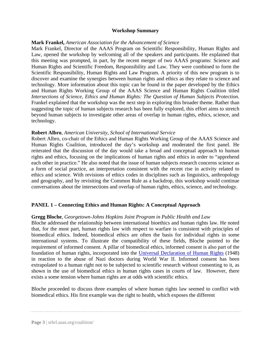## **Workshop Summary**

#### **Mark Frankel,** *American Association for the Advancement of Science*

Mark Frankel, Director of the AAAS Program on Scientific Responsibility, Human Rights and Law, opened the workshop by welcoming all of the speakers and participants. He explained that this meeting was prompted, in part, by the recent merger of two AAAS programs: Science and Human Rights and Scientific Freedom, Responsibility and Law. They were combined to form the Scientific Responsibility, Human Rights and Law Program. A priority of this new program is to discover and examine the synergies between human rights and ethics as they relate to science and technology. More information about this topic can be found in the paper developed by the Ethics and Human Rights Working Group of the AAAS Science and Human Rights Coalition titled *Intersections of Science, Ethics and Human Rights: The Question of Human Subjects Protection*. Frankel explained that the workshop was the next step in exploring this broader theme. Rather than suggesting the topic of human subjects research has been fully explored, this effort aims to stretch beyond human subjects to investigate other areas of overlap in human rights, ethics, science, and technology.

#### **Robert Albro**, *American University, School of International Service*

Robert Albro, co-chair of the Ethics and Human Rights Working Group of the AAAS Science and Human Rights Coalition, introduced the day's workshop and moderated the first panel. He reiterated that the discussion of the day would take a broad and conceptual approach to human rights and ethics, focusing on the implications of human rights and ethics in order to "apprehend each other in practice." He also noted that the issue of human subjects research concerns science as a form of social practice, an interpretation consistent with the recent rise in activity related to ethics and science. With revisions of ethics codes in disciplines such as linguistics, anthropology and geography, and by revisiting the Common Rule as a backdrop, this workshop would continue conversations about the intersections and overlap of human rights, ethics, science, and technology.

# **PANEL 1 – Connecting Ethics and Human Rights: A Conceptual Approach**

## **Gregg Bloche**, *Georgetown-Johns Hopkins Joint Program in Public Health and Law*

Bloche addressed the relationship between international bioethics and human rights law. He noted that, for the most part, human rights law with respect to warfare is consistent with principles of biomedical ethics. Indeed, biomedical ethics are often the basis for individual rights in some international systems. To illustrate the compatibility of these fields, Bloche pointed to the requirement of informed consent. A pillar of biomedical ethics, informed consent is also part of the foundation of human rights, incorporated into the Universal Declaration of Human Rights (1948) in reaction to the abuse of Nazi doctors during World War II. Informed consent has been extrapolated to a human right not to be subjected to scientific research without consenting to it, as shown in the use of biomedical ethics in human rights cases in courts of law. However, there exists a some tension where human rights are at odds with scientific ethics.

Bloche proceeded to discuss three examples of where human rights law seemed to conflict with biomedical ethics. His first example was the right to health, which exposes the different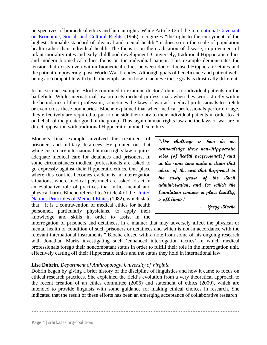perspectives of biomedical ethics and human rights. While Article 12 of the International Covenant on Economic, Social, and Cultural Rights (1966) recognizes "the right to the enjoyment of the highest attainable standard of physical and mental health," it does so on the scale of population health rather than individual health. The focus is on the eradication of disease, improvement of infant mortality rates and early childhood development. Conversely, traditional Hippocratic ethics and modern biomedical ethics focus on the individual patient. This example demonstrates the tension that exists even within biomedical ethics between doctor-focused Hippocratic ethics and the patient-empowering, post-World War II codes. Although goals of beneficence and patient wellbeing are compatible with both, the emphasis on how to achieve these goals is drastically different.

In his second example, Bloche continued to examine doctors' duties to individual patients on the battlefield. While international law protects medical professionals when they work strictly within the boundaries of their profession, sometimes the laws of war ask medical professionals to stretch or even cross these boundaries. Bloche explained that when medical professionals perform triage, they effectively are required to put to one side their duty to their individual patients in order to act on behalf of the greater good of the group. Thus, again human rights law and the laws of war are in direct opposition with traditional Hippocratic biomedical ethics.

Bloche's final example involved the treatment of prisoners and military detainees. He pointed out that while customary international human rights law requires adequate medical care for detainees and prisoners, in some circumstances medical professionals are asked to go expressly against their Hippocratic ethics. One place where this conflict becomes evident is in interrogation situations, where medical personnel are asked to act in an evaluative role of practices that inflict mental and physical harm. Bloche referred to Article 4 of the United Nations Principles of Medical Ethics (1982), which state that, "It is a contravention of medical ethics for health personnel, particularly physicians, to apply their knowledge and skills in order to assist in the

**"The challenge is how do we acknowledge these non-Hippocratic roles [of health professionals] and at the same time make a claim that abuse of the sort that happened in the early years of the Bush administration, and for which the foundation remains in place legally, is off-limits."** 

- **Gregg Bloche** 

interrogation of prisoners and detainees, in a manner that may adversely affect the physical or mental health or condition of such prisoners or detainees and which is not in accordance with the relevant international instruments." Bloche closed with a note from some of his ongoing research with Jonathan Marks investigating such 'enhanced interrogation tactics' in which medical professionals forego their noncombatant status in order to fulfill their role in the interrogation unit, effectively casting off their Hippocratic ethics and the status they hold in international law.

# **Lise Dobrin**, *Department of Anthropology, University of Virginia*

Dobrin began by giving a brief history of the discipline of linguistics and how it came to focus on ethical research practices. She explained the field's evolution from a very theoretical approach to the recent creation of an ethics committee (2006) and statement of ethics (2009), which are intended to provide linguists with some guidance for making ethical choices in research. She indicated that the result of these efforts has been an emerging acceptance of collaborative research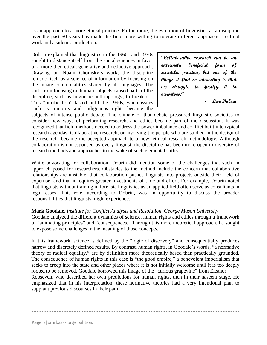as an approach to a more ethical practice. Furthermore, the evolution of linguistics as a discipline over the past 50 years has made the field more willing to tolerate different approaches to field work and academic production.

Dobrin explained that linguistics in the 1960s and 1970s sought to distance itself from the social sciences in favor of a more theoretical, generative and deductive approach. Drawing on Noam Chomsky's work, the discipline remade itself as a science of information by focusing on the innate commonalities shared by all languages. The shift from focusing on human subjects caused parts of the discipline, such as linguistic anthropology, to break off. This "purification" lasted until the 1990s, when issues such as minority and indigenous rights became the

**"Collaborative research can be an extremely beneficial form of scientific practice, but one of the things I find so interesting is that we struggle to justify it to ourselves."** 

- **Lise Dobrin** 

subjects of intense public debate. The climate of that debate pressured linguistic societies to consider new ways of performing research, and ethics became part of the discussion. It was recognized that field methods needed to address the power imbalance and conflict built into typical research agendas. Collaborative research, or involving the people who are studied in the design of the research, became the accepted approach to a new, ethical research methodology. Although collaboration is not espoused by every linguist, the discipline has been more open to diversity of research methods and approaches in the wake of such elemental shifts.

While advocating for collaboration, Dobrin did mention some of the challenges that such an approach posed for researchers. Obstacles to the method include the concern that collaborative relationships are unstable, that collaboration pushes linguists into projects outside their field of expertise, and that it requires greater investments of time and effort. For example, Dobrin noted that linguists without training in forensic linguistics as an applied field often serve as consultants in legal cases. This role, according to Dobrin, was an opportunity to discuss the broader responsibilities that linguists might experience.

# **Mark Goodale**, *Institute for Conflict Analysis and Resolution, George Mason University*

Goodale analyzed the different dynamics of science, human rights and ethics through a framework of "animating principles" and "consequences." Through this more theoretical approach, he sought to expose some challenges in the meaning of those concepts.

In this framework, science is defined by the "logic of discovery" and consequentially produces narrow and discretely defined results. By contrast, human rights, in Goodale's words, "a normative theory of radical equality," are by definition more theoretically based than practically grounded. The consequence of human rights in this case is "the good empire," a benevolent imperialism that seeks to creep into the state and other places where it is not initially welcome until it is too deeply rooted to be removed. Goodale borrowed this image of the "curious grapevine" from Eleanor Roosevelt, who described her own predictions for human rights, then in their nascent stage. He emphasized that in his interpretation, these normative theories had a very intentional plan to supplant previous discourses in their path.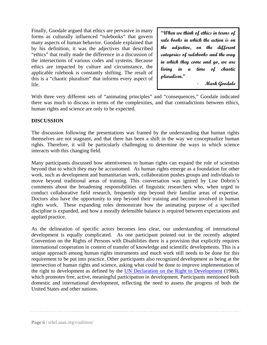Finally, Goodale argued that ethics are pervasive in many forms as culturally influenced "rulebooks" that govern many aspects of human behavior. Goodale explained that by his definition, it was the adjectives that described "ethics" that really made the difference in a discussion of the intersections of various codes and systems. Because ethics are impacted by culture and circumstance, the applicable rulebook is constantly shifting. The result of this is a "chaotic pluralism" that informs every aspect of life.

**"When we think of ethics in terms of rule books in which the action is on the adjective, on the different categories of rulebooks and the way in which they come and go, we are living in a time of chaotic pluralism."** 

‐ **Mark Goodale** 

With three very different sets of "animating principles" and "consequences," Goodale indicated there was much to discuss in terms of the complexities, and that contradictions between ethics, human rights and science are only to be expected.

## **DISCUSSION**

The discussion following the presentations was framed by the understanding that human rights themselves are not stagnant, and that there has been a shift in the way we conceptualize human rights. Therefore, it will be particularly challenging to determine the ways in which science interacts with this changing field.

Many participants discussed how attentiveness to human rights can expand the role of scientists beyond that to which they may be accustomed. As human rights emerge as a foundation for other work, such as development and humanitarian work, collaboration pushes groups and individuals to move beyond traditional areas of training. This conversation was ignited by Lise Dobrin's comments about the broadening responsibilities of linguistic researchers who, when urged to conduct collaborative field research, frequently step beyond their familiar areas of expertise. Doctors also have the opportunity to step beyond their training and become involved in human rights work. These expanding roles demonstrate how the animating purpose of a specified discipline is expanded, and how a morally defensible balance is required between expectations and applied practice.

As the delineation of specific actors becomes less clear, our understanding of international development is equally complicated. As one participant pointed out in the recently adopted Convention on the Rights of Persons with Disabilities there is a provision that explicitly requires international cooperation in context of transfer of knowledge and scientific developments. This is a unique approach among human rights instruments and much work still needs to be done for this requirement to be put into practice. Other participants also recognized development as being at the intersection of human rights and science, asking what could be done to improve implementation of the right to development as defined by the UN Declaration on the Right to Development (1986), which promotes free, active, meaningful participation in development. Participants mentioned both domestic and international development, reflecting the need to assess the progress of both the United States and other nations.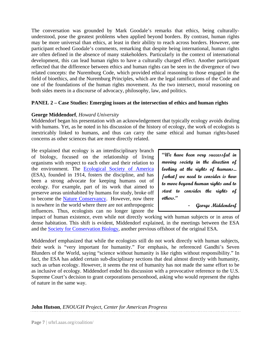The conversation was grounded by Mark Goodale's remarks that ethics, being culturallyunderstood, pose the greatest problems when applied beyond borders. By contrast, human rights may be more universal than ethics, at least in their ability to reach across borders. However, one participant echoed Goodale's comments, remarking that despite being international, human rights are often defined in the absence of many stakeholders. Particularly in the context of international development, this can lead human rights to have a culturally charged effect. Another participant reflected that the difference between ethics and human rights can be seen in the divergence of two related concepts: the Nuremburg Code, which provided ethical reasoning to those engaged in the field of bioethics, and the Nuremburg Principles, which are the legal ramifications of the Code and one of the foundations of the human rights movement. As the two intersect, moral reasoning on both sides meets in a discourse of advocacy, philosophy, law, and politics.

# **PANEL 2 – Case Studies: Emerging issues at the intersection of ethics and human rights**

## **George Middendorf**, *Howard University*

Middendorf began his presentation with an acknowledgement that typically ecology avoids dealing with humans. Yet, as he noted in his discussion of the history of ecology, the work of ecologists is inextricably linked to humans, and thus can carry the same ethical and human rights-based concerns as other sciences that are more directly related.

He explained that ecology is an interdisciplinary branch of biology, focused on the relationship of living organisms with respect to each other and their relation to the environment. The Ecological Society of America (ESA), founded in 1914, fosters the discipline, and has been a strong advocate for keeping humans out of ecology. For example, part of its work that aimed to preserve areas uninhabited by humans for study, broke off to become the Nature Conservancy. However, now there is nowhere in the world where there are not anthropogenic influences. Thus, ecologists can no longer ignore the

**"We have been very successful in moving society in the direction of looking at the rights of humans... [what] we need to consider is how to move beyond human rights and to start to consider the rights of others."** 

**‐ George Middendorf** 

impact of human existence, even while not directly working with human subjects or in areas of dense habitation. This shift is evident, Middendorf explained, in the meetings between the ESA and the Society for Conservation Biology, another previous offshoot of the original ESA.

Middendorf emphasized that while the ecologists still do not work directly with human subjects, their work is "very important for humanity." For emphasis, he referenced Gandhi's Seven Blunders of the World, saying "science without humanity is like rights without responsibility." In fact, the ESA has added certain sub-disciplinary sections that deal almost directly with humanity, such as urban ecology. However, it seems the rest of humanity has not made the same effort to be as inclusive of ecology. Middendorf ended his discussion with a provocative reference to the U.S. Supreme Court's decision to grant corporations personhood, asking who would represent the rights of nature in the same way.

## **John Hutson**, *ENOUGH Project, Center for American Progress*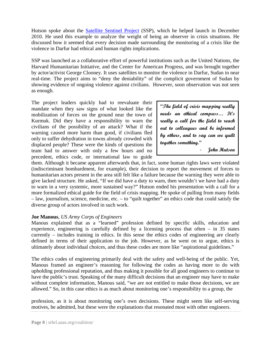Hutson spoke about the **Satellite Sentinel Project** (SSP), which he helped launch in December 2010. He used this example to analyze the weight of being an observer in crisis situations. He discussed how it seemed that every decision made surrounding the monitoring of a crisis like the violence in Darfur had ethical and human rights implications.

SSP was launched as a collaborative effort of powerful institutions such as the United Nations, the Harvard Humanitarian Initiative, and the Center for American Progress, and was brought together by actor/activist George Clooney. It uses satellites to monitor the violence in Darfur, Sudan in near real-time. The project aims to "deny the deniability" of the complicit government of Sudan by showing evidence of ongoing violence against civilians. However, soon observation was not seen as enough.

The project leaders quickly had to reevaluate their mandate when they saw signs of what looked like the mobilization of forces on the ground near the town of Kurmuk. Did they have a responsibility to warn the civilians of the possibility of an attack? What if the warning caused more harm than good, if civilians fled only to suffer dehydration in towns already crowded with displaced people? These were the kinds of questions the team had to answer with only a few hours and no precedent, ethics code, or international law to guide

**"The field of crisis mapping really needs an ethical compass… It's really a call for the field to reach out to colleagues and be informed by others, and to say can we quilt together something."** 

‐ **John Hutson** 

them. Although it became apparent afterwards that, in fact, some human rights laws were violated (indiscriminant bombardment, for example), their decision to report the movement of forces to humanitarian actors present in the area still felt like a failure because the warning they were able to give lacked structure. He asked, "If we did have a duty to warn, then wouldn't we have had a duty to warn in a very systemic, more sustained way?" Hutson ended his presentation with a call for a more formalized ethical guide for the field of crisis mapping. He spoke of pulling from many fields – law, journalism, science, medicine, etc. – to "quilt together" an ethics code that could satisfy the diverse group of actors involved in such work.

## **Joe Manous**, *US Army Corps of Engineers*

Manous explained that as a "learned" profession defined by specific skills, education and experience, engineering is carefully defined by a licensing process that often – in  $35$  states currently – includes training in ethics. In this sense the ethics codes of engineering are clearly defined in terms of their application to the job. However, as he went on to argue, ethics is ultimately about individual choices, and thus these codes are more like "aspirational guidelines."

The ethics codes of engineering primarily deal with the safety and well-being of the public. Yet, Manous framed an engineer's reasoning for following the codes as having more to do with upholding professional reputation, and thus making it possible for all good engineers to continue to have the public's trust. Speaking of the many difficult decisions that an engineer may have to make without complete information, Manous said, "we are not entitled to make those decisions, we are allowed." So, in this case ethics is as much about monitoring one's responsibility to a group, the

profession, as it is about monitoring one's own decisions. These might seem like self-serving motives, he admitted, but these were the explanations that resonated most with other engineers.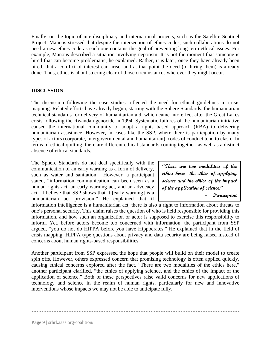Finally, on the topic of interdisciplinary and international projects, such as the Satellite Sentinel Project, Manous stressed that despite the intersection of ethics codes, such collaborations do not need a new ethics code as each one contains the goal of preventing long-term ethical issues. For example, Manous described a situation involving nepotism. It is not the moment that someone is hired that can become problematic, he explained. Rather, it is later, once they have already been hired, that a conflict of interest can arise, and at that point the deed (of hiring them) is already done. Thus, ethics is about steering clear of those circumstances wherever they might occur.

## **DISCUSSION**

The discussion following the case studies reflected the need for ethical guidelines in crisis mapping. Related efforts have already begun, starting with the Sphere Standards, the humanitarian technical standards for delivery of humanitarian aid, which came into effect after the Great Lakes crisis following the Rwandan genocide in 1994. Systematic failures of the humanitarian initiative caused the international community to adopt a rights based approach (RBA) to delivering humanitarian assistance. However, in cases like the SSP, where there is participation by many types of actors (corporate, intergovernmental and humanitarian), codes of conduct tend to clash. In terms of ethical quilting, there are different ethical standards coming together, as well as a distinct absence of ethical standards.

The Sphere Standards do not deal specifically with the communication of an early warning as a form of delivery, such as water and sanitation. However, a participant stated, "information communication can been seen as a human rights act, an early warning act, and an advocacy act. I believe that SSP shows that it [early warning] is a humanitarian act provision." He explained that if

**"There are two modalities of the ethics here: the ethics of applying science and the ethics of the impact of the application of science."** 

‐ **Participant** 

information intelligence is a humanitarian act, there is also a right to information about threats to one's personal security. This claim raises the question of who is held responsible for providing this information, and how such an organization or actor is supposed to exercise this responsibility to inform. Yet, before actors become too concerned with information, the participant from SSP argued, "you do not do HIPPA before you have Hippocrates." He explained that in the field of crisis mapping, HIPPA type questions about privacy and data security are being raised instead of concerns about human rights-based responsibilities.

Another participant from SSP expressed the hope that people will build on their model to create spin offs. However, others expressed concern that promising technology is often applied quickly, causing ethical concerns explored after the fact. "There are two modalities of the ethics here," another participant clarified, "the ethics of applying science, and the ethics of the impact of the application of science." Both of these perspectives raise valid concerns for new applications of technology and science in the realm of human rights, particularly for new and innovative interventions whose impacts we may not be able to anticipate fully.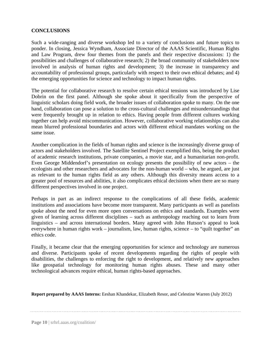## **CONCLUSIONS**

Such a wide-ranging and diverse workshop led to a variety of conclusions and future topics to ponder. In closing, Jessica Wyndham, Associate Director of the AAAS Scientific, Human Rights and Law Program, drew four themes from the panels and their respective discussions: 1) the possibilities and challenges of collaborative research; 2) the broad community of stakeholders now involved in analysis of human rights and development; 3) the increase in transparency and accountability of professional groups, particularly with respect to their own ethical debates; and 4) the emerging opportunities for science and technology to impact human rights.

The potential for collaborative research to resolve certain ethical tensions was introduced by Lise Dobrin on the first panel. Although she spoke about it specifically from the perspective of linguistic scholars doing field work, the broader issues of collaboration spoke to many. On the one hand, collaboration can pose a solution to the cross-cultural challenges and misunderstandings that were frequently brought up in relation to ethics. Having people from different cultures working together can help avoid miscommunication. However, collaborative working relationships can also mean blurred professional boundaries and actors with different ethical mandates working on the same issue.

Another complication in the fields of human rights and science is the increasingly diverse group of actors and stakeholders involved. The Satellite Sentinel Project exemplified this, being the product of academic research institutions, private companies, a movie star, and a humanitarian non-profit. Even George Middendorf's presentation on ecology presents the possibility of new actors – the ecologists and other researchers and advocates for the non-human world – who, he argued, are just as relevant to the human rights field as any others. Although this diversity means access to a greater pool of resources and abilities, it also complicates ethical decisions when there are so many different perspectives involved in one project.

Perhaps in part as an indirect response to the complications of all these fields, academic institutions and associations have become more transparent. Many participants as well as panelists spoke about the need for even more open conversations on ethics and standards. Examples were given of learning across different disciplines – such as anthropology reaching out to learn from linguistics – and across international borders. Many agreed with John Hutson's appeal to look everywhere in human rights work – journalism, law, human rights, science – to "quilt together" an ethics code.

Finally, it became clear that the emerging opportunities for science and technology are numerous and diverse. Participants spoke of recent developments regarding the rights of people with disabilities, the challenges to enforcing the right to development, and relatively new approaches like geospatial technology for monitoring human rights abuses. These and many other technological advances require ethical, human rights-based approaches.

**Report prepared by AAAS Interns:** Eeshan Khandekar, Elizabeth Resor, and Celestine Warren (July 2012)

**Page 10** | srhrl.aaas.org/coalition/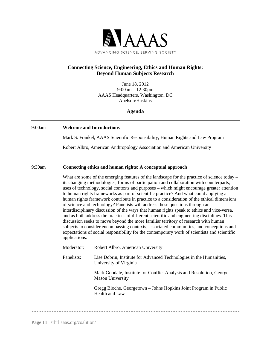

# **Connecting Science, Engineering, Ethics and Human Rights: Beyond Human Subjects Research**

June 18, 2012 9:00am – 12:30pm AAAS Headquarters, Washington, DC Abelson/Haskins

**Agenda** 

| 9:00am | <b>Welcome and Introductions</b>                                                                                                                                                                                                                                                                                                                                                                                                                                                                                                                                                                                                                                                                                                                                                                                                                                                                                                                                                                                                                            |                                                                                                 |  |
|--------|-------------------------------------------------------------------------------------------------------------------------------------------------------------------------------------------------------------------------------------------------------------------------------------------------------------------------------------------------------------------------------------------------------------------------------------------------------------------------------------------------------------------------------------------------------------------------------------------------------------------------------------------------------------------------------------------------------------------------------------------------------------------------------------------------------------------------------------------------------------------------------------------------------------------------------------------------------------------------------------------------------------------------------------------------------------|-------------------------------------------------------------------------------------------------|--|
|        |                                                                                                                                                                                                                                                                                                                                                                                                                                                                                                                                                                                                                                                                                                                                                                                                                                                                                                                                                                                                                                                             | Mark S. Frankel, AAAS Scientific Responsibility, Human Rights and Law Program                   |  |
|        |                                                                                                                                                                                                                                                                                                                                                                                                                                                                                                                                                                                                                                                                                                                                                                                                                                                                                                                                                                                                                                                             | Robert Albro, American Anthropology Association and American University                         |  |
| 9:30am | Connecting ethics and human rights: A conceptual approach                                                                                                                                                                                                                                                                                                                                                                                                                                                                                                                                                                                                                                                                                                                                                                                                                                                                                                                                                                                                   |                                                                                                 |  |
|        | What are some of the emerging features of the landscape for the practice of science today $-$<br>its changing methodologies, forms of participation and collaboration with counterparts,<br>uses of technology, social contexts and purposes – which might encourage greater attention<br>to human rights frameworks as part of scientific practice? And what could applying a<br>human rights framework contribute in practice to a consideration of the ethical dimensions<br>of science and technology? Panelists will address these questions through an<br>interdisciplinary discussion of the ways that human rights speak to ethics and vice-versa,<br>and as both address the practices of different scientific and engineering disciplines. This<br>discussion seeks to move beyond the more familiar territory of research with human<br>subjects to consider encompassing contexts, associated communities, and conceptions and<br>expectations of social responsibility for the contemporary work of scientists and scientific<br>applications. |                                                                                                 |  |
|        | Moderator:                                                                                                                                                                                                                                                                                                                                                                                                                                                                                                                                                                                                                                                                                                                                                                                                                                                                                                                                                                                                                                                  | Robert Albro, American University                                                               |  |
|        | Panelists:                                                                                                                                                                                                                                                                                                                                                                                                                                                                                                                                                                                                                                                                                                                                                                                                                                                                                                                                                                                                                                                  | Lise Dobrin, Institute for Advanced Technologies in the Humanities,<br>University of Virginia   |  |
|        |                                                                                                                                                                                                                                                                                                                                                                                                                                                                                                                                                                                                                                                                                                                                                                                                                                                                                                                                                                                                                                                             | Mark Goodale, Institute for Conflict Analysis and Resolution, George<br><b>Mason University</b> |  |
|        |                                                                                                                                                                                                                                                                                                                                                                                                                                                                                                                                                                                                                                                                                                                                                                                                                                                                                                                                                                                                                                                             | Gregg Bloche, Georgetown - Johns Hopkins Joint Program in Public<br>Health and Law              |  |
|        |                                                                                                                                                                                                                                                                                                                                                                                                                                                                                                                                                                                                                                                                                                                                                                                                                                                                                                                                                                                                                                                             |                                                                                                 |  |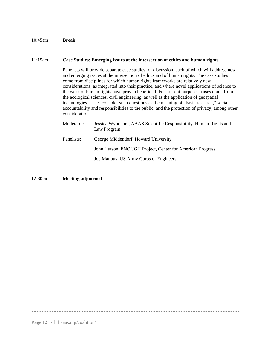#### 10:45am **Break**

#### 11:15am **Case Studies: Emerging issues at the intersection of ethics and human rights**

Panelists will provide separate case studies for discussion, each of which will address new and emerging issues at the intersection of ethics and of human rights. The case studies come from disciplines for which human rights frameworks are relatively new considerations, as integrated into their practice, and where novel applications of science to the work of human rights have proven beneficial. For present purposes, cases come from the ecological sciences, civil engineering, as well as the application of geospatial technologies. Cases consider such questions as the meaning of "basic research," social accountability and responsibilities to the public, and the protection of privacy, among other considerations.

| Moderator: | Jessica Wyndham, AAAS Scientific Responsibility, Human Rights and<br>Law Program |  |  |
|------------|----------------------------------------------------------------------------------|--|--|
| Panelists: | George Middendorf, Howard University                                             |  |  |
|            | John Hutson, ENOUGH Project, Center for American Progress                        |  |  |
|            | Joe Manous, US Army Corps of Engineers                                           |  |  |

12:30pm **Meeting adjourned**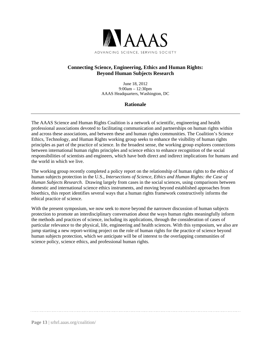

# **Connecting Science, Engineering, Ethics and Human Rights: Beyond Human Subjects Research**

June 18, 2012 9:00am – 12:30pm AAAS Headquarters, Washington, DC

**Rationale** 

The AAAS Science and Human Rights Coalition is a network of scientific, engineering and health professional associations devoted to facilitating communication and partnerships on human rights within and across these associations, and between these and human rights communities. The Coalition's Science Ethics, Technology, and Human Rights working group seeks to enhance the visibility of human rights principles as part of the practice of science. In the broadest sense, the working group explores connections between international human rights principles and science ethics to enhance recognition of the social responsibilities of scientists and engineers, which have both direct and indirect implications for humans and the world in which we live.

The working group recently completed a policy report on the relationship of human rights to the ethics of human subjects protection in the U.S., *Intersections of Science, Ethics and Human Rights: the Case of Human Subjects Research*. Drawing largely from cases in the social sciences, using comparisons between domestic and international science ethics instruments, and moving beyond established approaches from bioethics, this report identifies several ways that a human rights framework constructively informs the ethical practice of science.

With the present symposium, we now seek to move beyond the narrower discussion of human subjects protection to promote an interdisciplinary conversation about the ways human rights meaningfully inform the methods and practices of science, including its applications, through the consideration of cases of particular relevance to the physical, life, engineering and health sciences. With this symposium, we also are jump starting a new report-writing project on the role of human rights for the practice of science beyond human subjects protection, which we anticipate will be of interest to the overlapping communities of science policy, science ethics, and professional human rights.